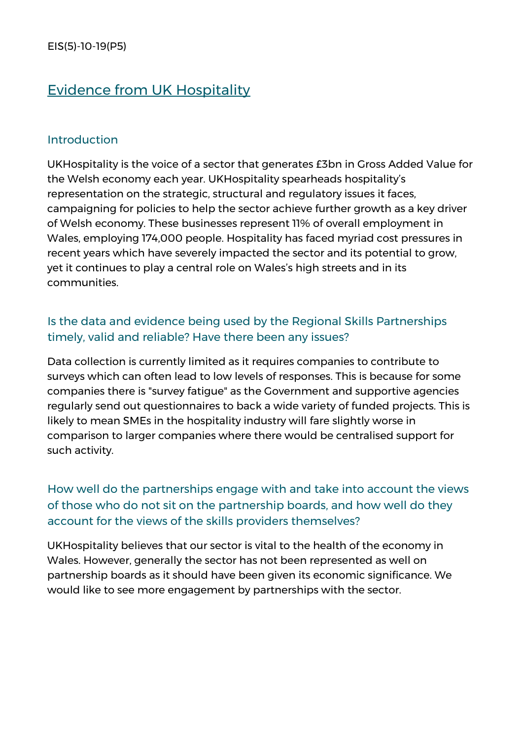# Evidence from UK Hospitality

#### Introduction

UKHospitality is the voice of a sector that generates £3bn in Gross Added Value for the Welsh economy each year. UKHospitality spearheads hospitality's representation on the strategic, structural and regulatory issues it faces, campaigning for policies to help the sector achieve further growth as a key driver of Welsh economy. These businesses represent 11% of overall employment in Wales, employing 174,000 people. Hospitality has faced myriad cost pressures in recent years which have severely impacted the sector and its potential to grow, yet it continues to play a central role on Wales's high streets and in its communities.

### Is the data and evidence being used by the Regional Skills Partnerships timely, valid and reliable? Have there been any issues?

Data collection is currently limited as it requires companies to contribute to surveys which can often lead to low levels of responses. This is because for some companies there is "survey fatigue" as the Government and supportive agencies regularly send out questionnaires to back a wide variety of funded projects. This is likely to mean SMEs in the hospitality industry will fare slightly worse in comparison to larger companies where there would be centralised support for such activity.

# How well do the partnerships engage with and take into account the views of those who do not sit on the partnership boards, and how well do they account for the views of the skills providers themselves?

UKHospitality believes that our sector is vital to the health of the economy in Wales. However, generally the sector has not been represented as well on partnership boards as it should have been given its economic significance. We would like to see more engagement by partnerships with the sector.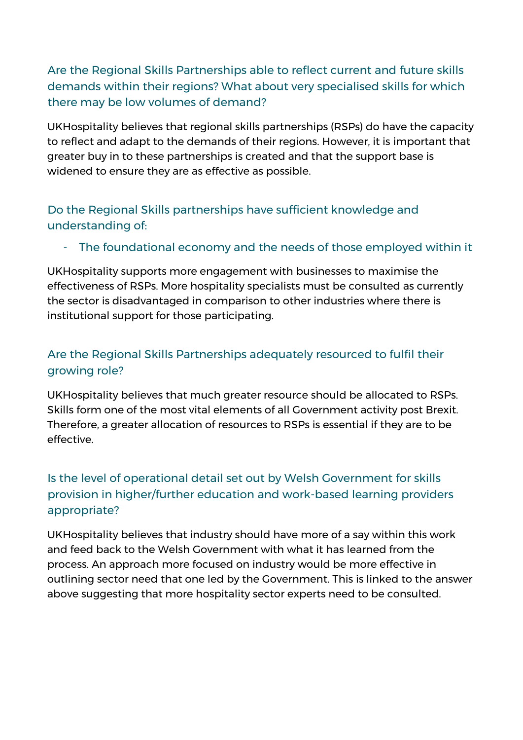# Are the Regional Skills Partnerships able to reflect current and future skills demands within their regions? What about very specialised skills for which there may be low volumes of demand?

UKHospitality believes that regional skills partnerships (RSPs) do have the capacity to reflect and adapt to the demands of their regions. However, it is important that greater buy in to these partnerships is created and that the support base is widened to ensure they are as effective as possible.

### Do the Regional Skills partnerships have sufficient knowledge and understanding of:

#### - The foundational economy and the needs of those employed within it

UKHospitality supports more engagement with businesses to maximise the effectiveness of RSPs. More hospitality specialists must be consulted as currently the sector is disadvantaged in comparison to other industries where there is institutional support for those participating.

# Are the Regional Skills Partnerships adequately resourced to fulfil their growing role?

UKHospitality believes that much greater resource should be allocated to RSPs. Skills form one of the most vital elements of all Government activity post Brexit. Therefore, a greater allocation of resources to RSPs is essential if they are to be effective.

# Is the level of operational detail set out by Welsh Government for skills provision in higher/further education and work-based learning providers appropriate?

UKHospitality believes that industry should have more of a say within this work and feed back to the Welsh Government with what it has learned from the process. An approach more focused on industry would be more effective in outlining sector need that one led by the Government. This is linked to the answer above suggesting that more hospitality sector experts need to be consulted.